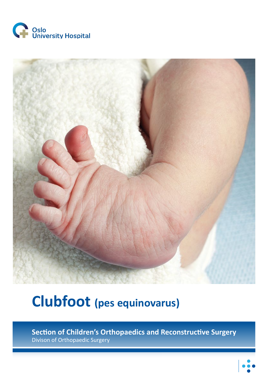



# **Clubfoot (pes equinovarus)**

**Section of Children's Orthopaedics and Reconstructive Surgery** Divison of Orthopaedic Surgery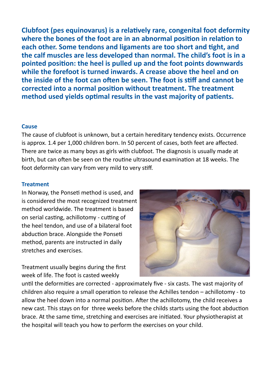**Clubfoot (pes equinovarus) is a relatively rare, congenital foot deformity where the bones of the foot are in an abnormal position in relation to each other. Some tendons and ligaments are too short and tight, and the calf muscles are less developed than normal. The child's foot is in a pointed position: the heel is pulled up and the foot points downwards while the forefoot is turned inwards. A crease above the heel and on the inside of the foot can often be seen. The foot is stiff and cannot be corrected into a normal position without treatment. The treatment method used yields optimal results in the vast majority of patients.** 

#### **Cause**

The cause of clubfoot is unknown, but a certain hereditary tendency exists. Occurrence is approx. 1.4 per 1,000 children born. In 50 percent of cases, both feet are affected. There are twice as many boys as girls with clubfoot. The diagnosis is usually made at birth, but can often be seen on the routine ultrasound examination at 18 weeks. The foot deformity can vary from very mild to very stiff.

#### **Treatment**

In Norway, the Ponseti method is used, and is considered the most recognized treatment method worldwide. The treatment is based on serial casting, achillotomy - cutting of the heel tendon, and use of a bilateral foot abduction brace. Alongside the Ponseti method, parents are instructed in daily stretches and exercises.

Treatment usually begins during the first week of life. The foot is casted weekly



until the deformities are corrected - approximately five - six casts. The vast majority of children also require a small operation to release the Achilles tendon – achillotomy - to allow the heel down into a normal position. After the achillotomy, the child receives a new cast. This stays on for three weeks before the childs starts using the foot abduction brace. At the same time, stretching and exercises are initiated. Your physiotherapist at the hospital will teach you how to perform the exercises on your child.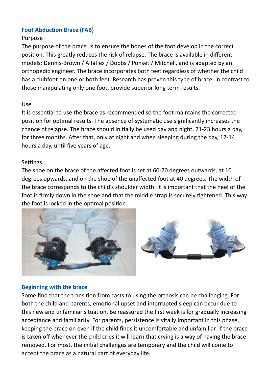## **Foot Abduction Brace (FAB)**

#### Purpose

The purpose of the brace is to ensure the bones of the foot develop in the correct position. This greatly reduces the risk of relapse. The brace is available in different models: Dennis-Brown / Alfaflex / Dobbs / Ponseti/ Mitchell, and is adapted by an orthopedic engineer. The brace incorporates both feet regardless of whether the child has a clubfoot on one or both feet. Research has proven this type of brace, in contrast to those manipulating only one foot, provide superior long term results.

#### Use

It is essential to use the brace as recommended so the foot maintains the corrected position for optimal results. The absence of systematic use significantly increases the chance of relapse. The brace should initially be used day and night, 21-23 hours a day, for three months. After that, only at night and when sleeping during the day, 12-14 hours a day, until five years of age.

### Settings

The shoe on the brace of the affected foot is set at 60-70 degrees outwards, at 10 degrees upwards, and on the shoe of the unaffected foot at 40 degrees. The width of the brace corresponds to the child's shoulder width. It is important that the heel of the foot is firmly down in the shoe and that the middle strap is securely tightened. This way the foot is locked in the optimal position.



### **Beginning with the brace**

Some find that the transition from casts to using the orthosis can be challenging. For both the child and parents, emotional upset and interrupted sleep can occur due to this new and unfamiliar situation. Be reassured the first week is for gradually increasing acceptance and familiarity. For parents, persistence is vitally important in this phase, keeping the brace on even if the child finds it uncomfortable and unfamiliar. If the brace is taken off whenever the child cries it will learn that crying is a way of having the brace removed. For most, the initial challenges are temporary and the child will come to accept the brace as a natural part of everyday life.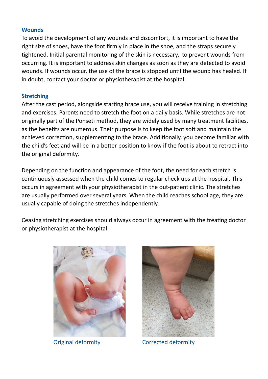#### **Wounds**

To avoid the development of any wounds and discomfort, it is important to have the right size of shoes, have the foot firmly in place in the shoe, and the straps securely tightened. Initial parental monitoring of the skin is necessary, to prevent wounds from occurring. It is important to address skin changes as soon as they are detected to avoid wounds. If wounds occur, the use of the brace is stopped until the wound has healed. If in doubt, contact your doctor or physiotherapist at the hospital.

#### **Stretching**

After the cast period, alongside starting brace use, you will receive training in stretching and exercises. Parents need to stretch the foot on a daily basis. While stretches are not originally part of the Ponseti method, they are widely used by many treatment facilities, as the benefits are numerous. Their purpose is to keep the foot soft and maintain the achieved correction, supplementing to the brace. Additionally, you become familiar with the child's feet and will be in a better position to know if the foot is about to retract into the original deformity.

Depending on the function and appearance of the foot, the need for each stretch is continuously assessed when the child comes to regular check ups at the hospital. This occurs in agreement with your physiotherapist in the out-patient clinic. The stretches are usually performed over several years. When the child reaches school age, they are usually capable of doing the stretches independently.

Ceasing stretching exercises should always occur in agreement with the treating doctor or physiotherapist at the hospital.





Original deformity Corrected deformity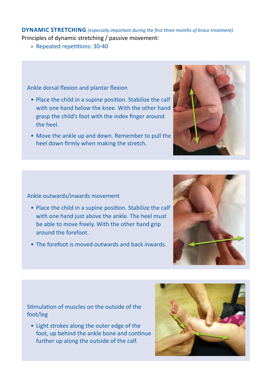**DYNAMIC STRETCHING** *(especially important during the first three months of brace treatment)*

Principles of dynamic stretching / passive movement:

» Repeated repetitions: 30-40

Ankle dorsal flexion and plantar flexion

- Place the child in a supine position. Stabilize the calf with one hand below the knee. With the other hand grasp the child's foot with the index finger around the heel.
- Move the ankle up and down. Remember to pull the heel down firmly when making the stretch.



#### Ankle outwards/inwards movement

- Place the child in a supine position. Stabilize the calf with one hand just above the ankle. The heel must be able to move freely. With the other hand grip around the forefoot.
- The forefoot is moved outwards and back inwards.



# Stimulation of muscles on the outside of the foot/leg

• Light strokes along the outer edge of the foot, up behind the ankle bone and continue further up along the outside of the calf.

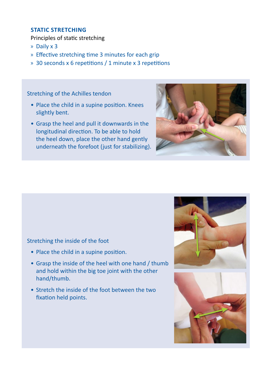# **STATIC STRETCHING**

Principles of static stretching

- » Daily x 3
- » Effective stretching time 3 minutes for each grip
- » 30 seconds x 6 repetitions / 1 minute x 3 repetitions

Stretching of the Achilles tendon

- Place the child in a supine position. Knees slightly bent.
- Grasp the heel and pull it downwards in the longitudinal direction. To be able to hold the heel down, place the other hand gently underneath the forefoot (just for stabilizing).



#### Stretching the inside of the foot

- Place the child in a supine position.
- Grasp the inside of the heel with one hand / thumb and hold within the big toe joint with the other hand/thumb.
- Stretch the inside of the foot between the two fixation held points.

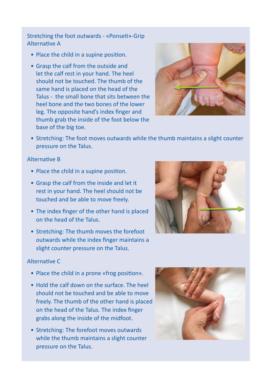Stretching the foot outwards - «Ponseti»-Grip Alternative A

- Place the child in a supine position.
- Grasp the calf from the outside and let the calf rest in your hand. The heel should not be touched. The thumb of the same hand is placed on the head of the Talus - the small bone that sits between the heel bone and the two bones of the lower leg. The opposite hand's index finger and thumb grab the inside of the foot below the base of the big toe.



• Stretching: The foot moves outwards while the thumb maintains a slight counter pressure on the Talus.

#### Alternative B

- Place the child in a supine position.
- Grasp the calf from the inside and let it rest in your hand. The heel should not be touched and be able to move freely.
- The index finger of the other hand is placed on the head of the Talus.
- Stretching: The thumb moves the forefoot outwards while the index finger maintains a slight counter pressure on the Talus.

#### Alternative C

- Place the child in a prone «frog position».
- Hold the calf down on the surface. The heel should not be touched and be able to move freely. The thumb of the other hand is placed on the head of the Talus. The index finger grabs along the inside of the midfoot.
- Stretching: The forefoot moves outwards while the thumb maintains a slight counter pressure on the Talus.

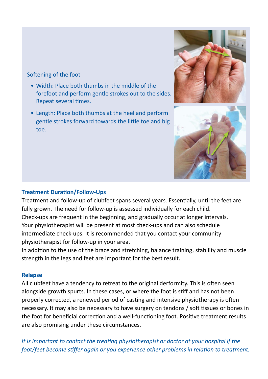### Softening of the foot

- Width: Place both thumbs in the middle of the forefoot and perform gentle strokes out to the sides. Repeat several times.
- Length: Place both thumbs at the heel and perform gentle strokes forward towards the little toe and big toe.



# **Treatment Duration/Follow-Ups**

Treatment and follow-up of clubfeet spans several years. Essentially, until the feet are fully grown. The need for follow-up is assessed individually for each child. Check-ups are frequent in the beginning, and gradually occur at longer intervals. Your physiotherapist will be present at most check-ups and can also schedule intermediate check-ups. It is recommended that you contact your community physiotherapist for follow-up in your area.

In addition to the use of the brace and stretching, balance training, stability and muscle strength in the legs and feet are important for the best result.

### **Relapse**

All clubfeet have a tendency to retreat to the original derformity. This is often seen alongside growth spurts. In these cases, or where the foot is stiff and has not been properly corrected, a renewed period of casting and intensive physiotherapy is often necessary. It may also be necessary to have surgery on tendons / soft tissues or bones in the foot for beneficial correction and a well-functioning foot. Positive treatment results are also promising under these circumstances.

*It is important to contact the treating physiotherapist or doctor at your hospital if the foot/feet become stiffer again or you experience other problems in relation to treatment.*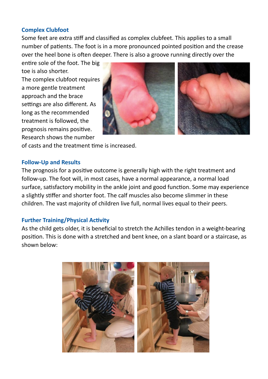#### **Complex Clubfoot**

Some feet are extra stiff and classified as complex clubfeet. This applies to a small number of patients. The foot is in a more pronounced pointed position and the crease over the heel bone is often deeper. There is also a groove running directly over the

entire sole of the foot. The big toe is also shorter.

The complex clubfoot requires a more gentle treatment approach and the brace settings are also different. As long as the recommended treatment is followed, the prognosis remains positive. Research shows the number



of casts and the treatment time is increased.

#### **Follow-Up and Results**

The prognosis for a positive outcome is generally high with the right treatment and follow-up. The foot will, in most cases, have a normal appearance, a normal load surface, satisfactory mobility in the ankle joint and good function. Some may experience a slightly stiffer and shorter foot. The calf muscles also become slimmer in these children. The vast majority of children live full, normal lives equal to their peers.

### **Further Training/Physical Activity**

As the child gets older, it is beneficial to stretch the Achilles tendon in a weight-bearing position. This is done with a stretched and bent knee, on a slant board or a staircase, as shown below:

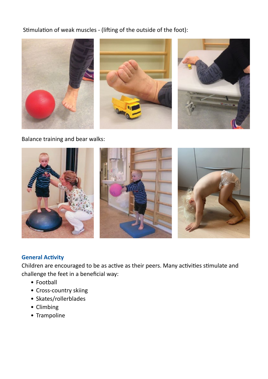Stimulation of weak muscles - (lifting of the outside of the foot):



Balance training and bear walks:



# **General Activity**

Children are encouraged to be as active as their peers. Many activities stimulate and challenge the feet in a beneficial way:

- Football
- Cross-country skiing
- Skates/rollerblades
- Climbing
- Trampoline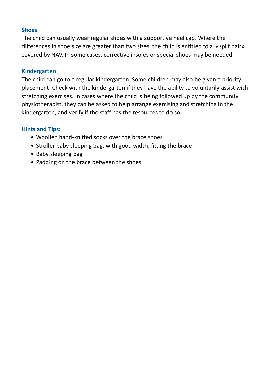# **Shoes**

The child can usually wear regular shoes with a supportive heel cap. Where the differences in shoe size are greater than two sizes, the child is entitled to a «split pair» covered by NAV. In some cases, corrective insoles or special shoes may be needed.

#### **Kindergarten**

The child can go to a regular kindergarten. Some children may also be given a priority placement. Check with the kindergarten if they have the ability to voluntarily assist with stretching exercises. In cases where the child is being followed up by the community physiotherapist, they can be asked to help arrange exercising and stretching in the kindergarten, and verify if the staff has the resources to do so.

### **Hints and Tips:**

- Woollen hand-knitted socks over the brace shoes
- Stroller baby sleeping bag, with good width, fitting the brace
- Baby sleeping bag
- Padding on the brace between the shoes